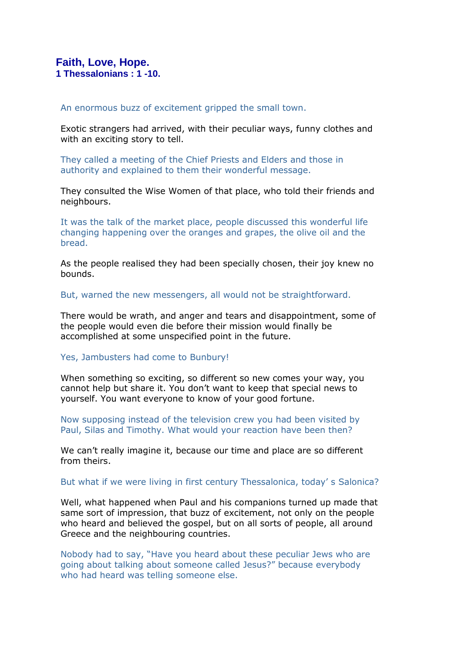# **Faith, Love, Hope. 1 Thessalonians : 1 -10.**

### An enormous buzz of excitement gripped the small town.

Exotic strangers had arrived, with their peculiar ways, funny clothes and with an exciting story to tell.

They called a meeting of the Chief Priests and Elders and those in authority and explained to them their wonderful message.

They consulted the Wise Women of that place, who told their friends and neighbours.

It was the talk of the market place, people discussed this wonderful life changing happening over the oranges and grapes, the olive oil and the bread.

As the people realised they had been specially chosen, their joy knew no bounds.

But, warned the new messengers, all would not be straightforward.

There would be wrath, and anger and tears and disappointment, some of the people would even die before their mission would finally be accomplished at some unspecified point in the future.

### Yes, Jambusters had come to Bunbury!

When something so exciting, so different so new comes your way, you cannot help but share it. You don't want to keep that special news to yourself. You want everyone to know of your good fortune.

Now supposing instead of the television crew you had been visited by Paul, Silas and Timothy. What would your reaction have been then?

We can't really imagine it, because our time and place are so different from theirs.

### But what if we were living in first century Thessalonica, today' s Salonica?

Well, what happened when Paul and his companions turned up made that same sort of impression, that buzz of excitement, not only on the people who heard and believed the gospel, but on all sorts of people, all around Greece and the neighbouring countries.

Nobody had to say, "Have you heard about these peculiar Jews who are going about talking about someone called Jesus?" because everybody who had heard was telling someone else.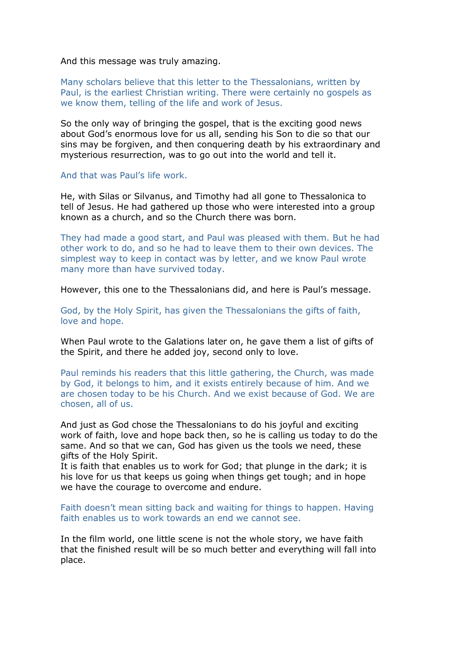And this message was truly amazing.

Many scholars believe that this letter to the Thessalonians, written by Paul, is the earliest Christian writing. There were certainly no gospels as we know them, telling of the life and work of Jesus.

So the only way of bringing the gospel, that is the exciting good news about God's enormous love for us all, sending his Son to die so that our sins may be forgiven, and then conquering death by his extraordinary and mysterious resurrection, was to go out into the world and tell it.

And that was Paul's life work.

He, with Silas or Silvanus, and Timothy had all gone to Thessalonica to tell of Jesus. He had gathered up those who were interested into a group known as a church, and so the Church there was born.

They had made a good start, and Paul was pleased with them. But he had other work to do, and so he had to leave them to their own devices. The simplest way to keep in contact was by letter, and we know Paul wrote many more than have survived today.

However, this one to the Thessalonians did, and here is Paul's message.

God, by the Holy Spirit, has given the Thessalonians the gifts of faith, love and hope.

When Paul wrote to the Galations later on, he gave them a list of gifts of the Spirit, and there he added joy, second only to love.

Paul reminds his readers that this little gathering, the Church, was made by God, it belongs to him, and it exists entirely because of him. And we are chosen today to be his Church. And we exist because of God. We are chosen, all of us.

And just as God chose the Thessalonians to do his joyful and exciting work of faith, love and hope back then, so he is calling us today to do the same. And so that we can, God has given us the tools we need, these gifts of the Holy Spirit.

It is faith that enables us to work for God; that plunge in the dark; it is his love for us that keeps us going when things get tough; and in hope we have the courage to overcome and endure.

Faith doesn't mean sitting back and waiting for things to happen. Having faith enables us to work towards an end we cannot see.

In the film world, one little scene is not the whole story, we have faith that the finished result will be so much better and everything will fall into place.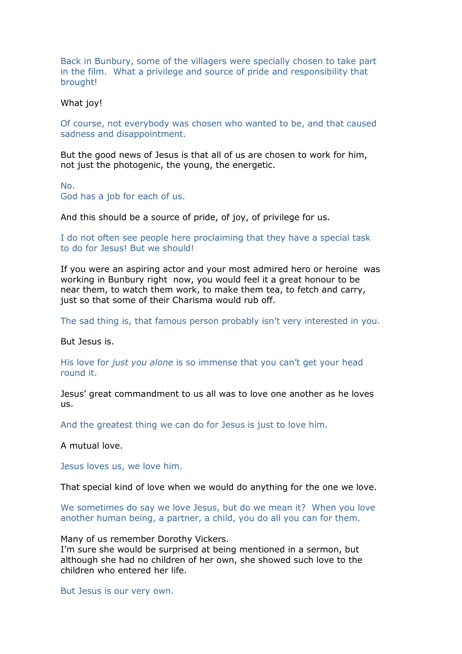Back in Bunbury, some of the villagers were specially chosen to take part in the film. What a privilege and source of pride and responsibility that brought!

#### What joy!

Of course, not everybody was chosen who wanted to be, and that caused sadness and disappointment.

But the good news of Jesus is that all of us are chosen to work for him, not just the photogenic, the young, the energetic.

No. God has a job for each of us.

And this should be a source of pride, of joy, of privilege for us.

I do not often see people here proclaiming that they have a special task to do for Jesus! But we should!

If you were an aspiring actor and your most admired hero or heroine was working in Bunbury right now, you would feel it a great honour to be near them, to watch them work, to make them tea, to fetch and carry, just so that some of their Charisma would rub off.

The sad thing is, that famous person probably isn't very interested in you.

But Jesus is.

His love for *just you alone* is so immense that you can't get your head round it.

Jesus' great commandment to us all was to love one another as he loves us.

And the greatest thing we can do for Jesus is just to love him.

A mutual love.

Jesus loves us, we love him.

That special kind of love when we would do anything for the one we love.

We sometimes do say we love Jesus, but do we mean it? When you love another human being, a partner, a child, you do all you can for them.

Many of us remember Dorothy Vickers.

I'm sure she would be surprised at being mentioned in a sermon, but although she had no children of her own, she showed such love to the children who entered her life.

But Jesus is our very own.